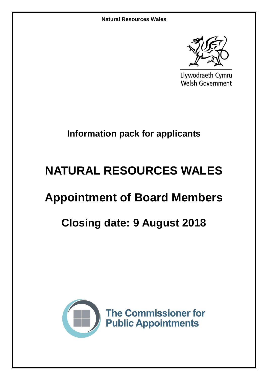

Llywodraeth Cymru Welsh Government

## **Information pack for applicants**

# **NATURAL RESOURCES WALES**

## **Appointment of Board Members**

## **Closing date: 9 August 2018**

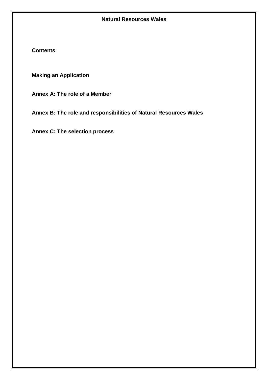**Contents**

**Making an Application**

**Annex A: The role of a Member** 

**Annex B: The role and responsibilities of Natural Resources Wales**

**Annex C: The selection process**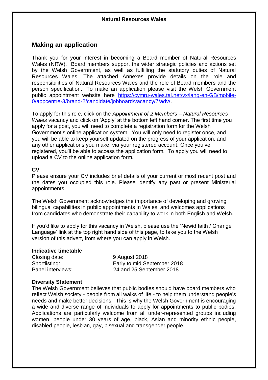## **Making an application**

Thank you for your interest in becoming a Board member of Natural Resources Wales (NRW). Board members support the wider strategic policies and actions set by the Welsh Government, as well as fulfilling the statutory duties of Natural Resources Wales. The attached Annexes provide details on the role and responsibilities of Natural Resources Wales and the role of Board members and the person specification., To make an application please visit the Welsh Government public appointment website here [https://cymru-wales.tal.net/vx/lang-en-GB/mobile-](https://cymru-wales.tal.net/vx/lang-en-GB/mobile-0/appcentre-3/brand-2/candidate/jobboard/vacancy/7/adv/)[0/appcentre-3/brand-2/candidate/jobboard/vacancy/7/adv/.](https://cymru-wales.tal.net/vx/lang-en-GB/mobile-0/appcentre-3/brand-2/candidate/jobboard/vacancy/7/adv/)

To apply for this role, click on the *Appointment of 2 Members – Natural Resources Wales* vacancy and click on 'Apply' at the bottom left hand corner. The first time you apply for a post, you will need to complete a registration form for the Welsh Government's online application system. You will only need to register once, and you will be able to keep yourself updated on the progress of your application, and any other applications you make, via your registered account. Once you've registered, you'll be able to access the application form. To apply you will need to upload a CV to the online application form.

#### **CV**

Please ensure your CV includes brief details of your current or most recent post and the dates you occupied this role. Please identify any past or present Ministerial appointments.

The Welsh Government acknowledges the importance of developing and growing bilingual capabilities in public appointments in Wales, and welcomes applications from candidates who demonstrate their capability to work in both English and Welsh.

If you'd like to apply for this vacancy in Welsh, please use the 'Newid Iaith / Change Language' link at the top right hand side of this page, to take you to the Welsh version of this advert, from where you can apply in Welsh.

#### **Indicative timetable**

Closing date: 9 August 2018

Shortlisting: Early to mid September 2018 Panel interviews: 24 and 25 September 2018

#### **Diversity Statement**

The Welsh Government believes that public bodies should have board members who reflect Welsh society - people from all walks of life - to help them understand people's needs and make better decisions. This is why the Welsh Government is encouraging a wide and diverse range of individuals to apply for appointments to public bodies. Applications are particularly welcome from all under-represented groups including women, people under 30 years of age, black, Asian and minority ethnic people, disabled people, lesbian, gay, bisexual and transgender people.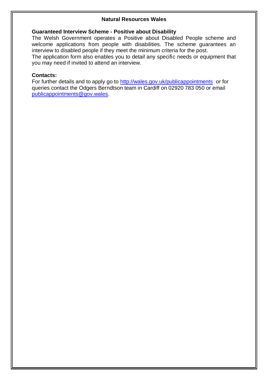#### **Guaranteed Interview Scheme - Positive about Disability**

The Welsh Government operates a Positive about Disabled People scheme and welcome applications from people with disabilities. The scheme guarantees an interview to disabled people if they meet the minimum criteria for the post.

The application form also enables you to detail any specific needs or equipment that you may need if invited to attend an interview.

#### **Contacts:**

For further details and to apply go to<http://wales.gov.uk/publicappointments>or for queries contact the Odgers Berndtson team in Cardiff on 02920 783 050 or email [publicappointments@gov.wales.](mailto:publicappointments@gov.wales)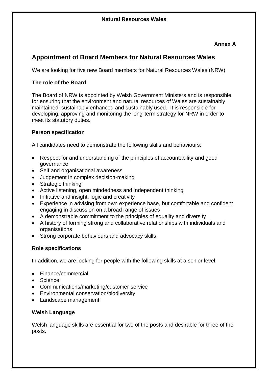### **Annex A**

## **Appointment of Board Members for Natural Resources Wales**

We are looking for five new Board members for Natural Resources Wales (NRW)

### **The role of the Board**

The Board of NRW is appointed by Welsh Government Ministers and is responsible for ensuring that the environment and natural resources of Wales are sustainably maintained; sustainably enhanced and sustainably used. It is responsible for developing, approving and monitoring the long-term strategy for NRW in order to meet its statutory duties.

### **Person specification**

All candidates need to demonstrate the following skills and behaviours:

- Respect for and understanding of the principles of accountability and good governance
- Self and organisational awareness
- Judgement in complex decision-making
- Strategic thinking
- Active listening, open mindedness and independent thinking
- Initiative and insight, logic and creativity
- Experience in advising from own experience base, but comfortable and confident engaging in discussion on a broad range of issues
- A demonstrable commitment to the principles of equality and diversity
- A history of forming strong and collaborative relationships with individuals and organisations
- Strong corporate behaviours and advocacy skills

#### **Role specifications**

In addition, we are looking for people with the following skills at a senior level:

- Finance/commercial
- Science
- Communications/marketing/customer service
- Environmental conservation/biodiversity
- Landscape management

#### **Welsh Language**

Welsh language skills are essential for two of the posts and desirable for three of the posts.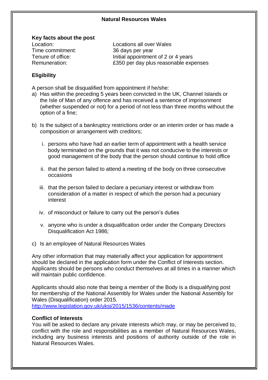#### **Key facts about the post**

Time commitment: 36 days per year

Location: Locations all over Wales Tenure of office: Initial appointment of 2 or 4 years Remuneration: £350 per day plus reasonable expenses

#### **Eligibility**

A person shall be disqualified from appointment if he/she:

- a) Has within the preceding 5 years been convicted in the UK, Channel Islands or the Isle of Man of any offence and has received a sentence of imprisonment (whether suspended or not) for a period of not less than three months without the option of a fine;
- b) Is the subject of a bankruptcy restrictions order or an interim order or has made a composition or arrangement with creditors;
	- i. persons who have had an earlier term of appointment with a health service body terminated on the grounds that it was not conducive to the interests or good management of the body that the person should continue to hold office
	- ii. that the person failed to attend a meeting of the body on three consecutive occasions
	- iii. that the person failed to declare a pecuniary interest or withdraw from consideration of a matter in respect of which the person had a pecuniary interest
	- iv. of misconduct or failure to carry out the person's duties
	- v. anyone who is under a disqualification order under the Company Directors Disqualification Act 1986;
- c) Is an employee of Natural Resources Wales

Any other information that may materially affect your application for appointment should be declared in the application form under the Conflict of Interests section. Applicants should be persons who conduct themselves at all times in a manner which will maintain public confidence.

Applicants should also note that being a member of the Body is a disqualifying post for membership of the National Assembly for Wales under the National Assembly for Wales (Disqualification) order 2015. <http://www.legislation.gov.uk/uksi/2015/1536/contents/made>

#### **Conflict of Interests**

You will be asked to declare any private interests which may, or may be perceived to, conflict with the role and responsibilities as a member of Natural Resources Wales, including any business interests and positions of authority outside of the role in Natural Resources Wales.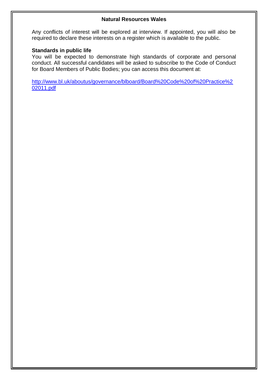Any conflicts of interest will be explored at interview. If appointed, you will also be required to declare these interests on a register which is available to the public.

#### **Standards in public life**

You will be expected to demonstrate high standards of corporate and personal conduct. All successful candidates will be asked to subscribe to the Code of Conduct for Board Members of Public Bodies; you can access this document at:

[http://www.bl.uk/aboutus/governance/blboard/Board%20Code%20of%20Practice%2](http://www.bl.uk/aboutus/governance/blboard/Board%20Code%20of%20Practice%202011.pdf) [02011.pdf](http://www.bl.uk/aboutus/governance/blboard/Board%20Code%20of%20Practice%202011.pdf)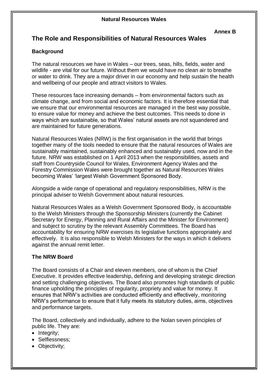## **The Role and Responsibilities of Natural Resources Wales**

## **Background**

The natural resources we have in Wales – our trees, seas, hills, fields, water and wildlife - are vital for our future. Without them we would have no clean air to breathe or water to drink. They are a major driver in our economy and help sustain the health and wellbeing of our people and attract visitors to Wales.

These resources face increasing demands – from environmental factors such as climate change, and from social and economic factors. It is therefore essential that we ensure that our environmental resources are managed in the best way possible, to ensure value for money and achieve the best outcomes. This needs to done in ways which are sustainable, so that Wales' natural assets are not squandered and are maintained for future generations.

Natural Resources Wales (NRW) is the first organisation in the world that brings together many of the tools needed to ensure that the natural resources of Wales are sustainably maintained, sustainably enhanced and sustainably used, now and in the future. NRW was established on 1 April 2013 when the responsibilities, assets and staff from Countryside Council for Wales, Environment Agency Wales and the Forestry Commission Wales were brought together as Natural Resources Wales becoming Wales' 'largest Welsh Government Sponsored Body.

Alongside a wide range of operational and regulatory responsibilities, NRW is the principal adviser to Welsh Government about natural resources.

Natural Resources Wales as a Welsh Government Sponsored Body, is accountable to the Welsh Ministers through the Sponsorship Ministers (currently the Cabinet Secretary for Energy, Planning and Rural Affairs and the Minister for Environment) and subject to scrutiny by the relevant Assembly Committees. The Board has accountability for ensuring NRW exercises its legislative functions appropriately and effectively. It is also responsible to Welsh Ministers for the ways in which it delivers against the annual remit letter.

## **The NRW Board**

The Board consists of a Chair and eleven members, one of whom is the Chief Executive. It provides effective leadership, defining and developing strategic direction and setting challenging objectives. The Board also promotes high standards of public finance upholding the principles of regularity, propriety and value for money. It ensures that NRW's activities are conducted efficiently and effectively, monitoring NRW's performance to ensure that it fully meets its statutory duties, aims, objectives and performance targets.

The Board, collectively and individually, adhere to the Nolan seven principles of public life. They are:

- $\bullet$  Integrity;
- Selflessness;
- Objectivity;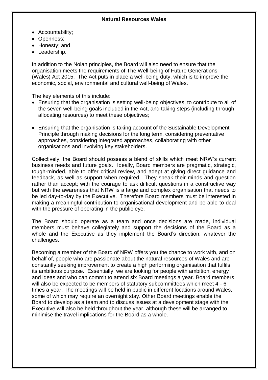- Accountability;
- Openness;
- Honesty; and
- Leadership.

In addition to the Nolan principles, the Board will also need to ensure that the organisation meets the requirements of The Well-being of Future Generations (Wales) Act 2015. The Act puts in place a well-being duty, which is to improve the economic, social, environmental and cultural well-being of Wales.

The key elements of this include:

- Ensuring that the organisation is setting well-being objectives, to contribute to all of the seven well-being goals included in the Act, and taking steps (including through allocating resources) to meet these objectives;
- Ensuring that the organisation is taking account of the Sustainable Development Principle through making decisions for the long term, considering preventative approaches, considering integrated approaches, collaborating with other organisations and involving key stakeholders.

Collectively, the Board should possess a blend of skills which meet NRW's current business needs and future goals. Ideally, Board members are pragmatic, strategic, tough-minded, able to offer critical review, and adept at giving direct guidance and feedback, as well as support when required. They speak their minds and question rather than accept; with the courage to ask difficult questions in a constructive way but with the awareness that NRW is a large and complex organisation that needs to be led day-to-day by the Executive. Therefore Board members must be interested in making a meaningful contribution to organisational development and be able to deal with the pressure of operating in the public eye.

The Board should operate as a team and once decisions are made, individual members must behave collegiately and support the decisions of the Board as a whole and the Executive as they implement the Board's direction, whatever the challenges.

Becoming a member of the Board of NRW offers you the chance to work with, and on behalf of, people who are passionate about the natural resources of Wales and are constantly seeking improvement to create a high performing organisation that fulfils its ambitious purpose. Essentially, we are looking for people with ambition, energy and ideas and who can commit to attend six Board meetings a year. Board members will also be expected to be members of statutory subcommittees which meet 4 - 6 times a year. The meetings will be held in public in different locations around Wales, some of which may require an overnight stay. Other Board meetings enable the Board to develop as a team and to discuss issues at a development stage with the Executive will also be held throughout the year, although these will be arranged to minimise the travel implications for the Board as a whole.